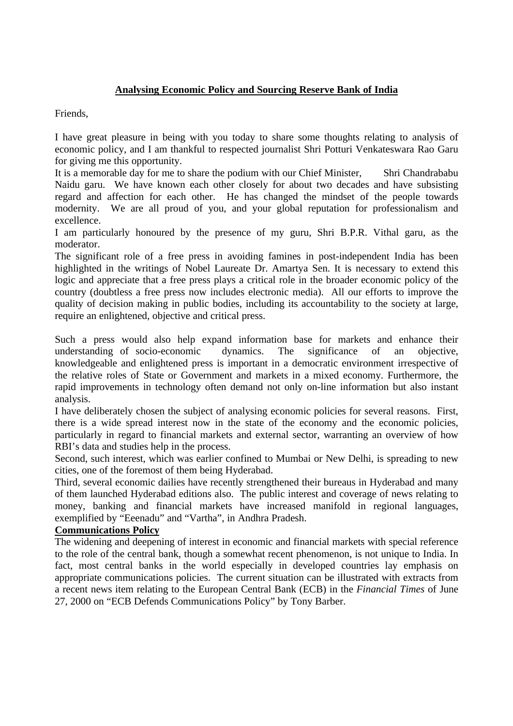# **Analysing Economic Policy and Sourcing Reserve Bank of India**

Friends,

I have great pleasure in being with you today to share some thoughts relating to analysis of economic policy, and I am thankful to respected journalist Shri Potturi Venkateswara Rao Garu for giving me this opportunity.

It is a memorable day for me to share the podium with our Chief Minister, Shri Chandrababu Naidu garu. We have known each other closely for about two decades and have subsisting regard and affection for each other. He has changed the mindset of the people towards modernity. We are all proud of you, and your global reputation for professionalism and excellence.

I am particularly honoured by the presence of my guru, Shri B.P.R. Vithal garu, as the moderator.

The significant role of a free press in avoiding famines in post-independent India has been highlighted in the writings of Nobel Laureate Dr. Amartya Sen. It is necessary to extend this logic and appreciate that a free press plays a critical role in the broader economic policy of the country (doubtless a free press now includes electronic media). All our efforts to improve the quality of decision making in public bodies, including its accountability to the society at large, require an enlightened, objective and critical press.

Such a press would also help expand information base for markets and enhance their understanding of socio-economic dynamics. The significance of an objective, knowledgeable and enlightened press is important in a democratic environment irrespective of the relative roles of State or Government and markets in a mixed economy. Furthermore, the rapid improvements in technology often demand not only on-line information but also instant analysis.

I have deliberately chosen the subject of analysing economic policies for several reasons. First, there is a wide spread interest now in the state of the economy and the economic policies, particularly in regard to financial markets and external sector, warranting an overview of how RBI's data and studies help in the process.

Second, such interest, which was earlier confined to Mumbai or New Delhi, is spreading to new cities, one of the foremost of them being Hyderabad.

Third, several economic dailies have recently strengthened their bureaus in Hyderabad and many of them launched Hyderabad editions also. The public interest and coverage of news relating to money, banking and financial markets have increased manifold in regional languages, exemplified by "Eeenadu" and "Vartha", in Andhra Pradesh.

# **Communications Policy**

The widening and deepening of interest in economic and financial markets with special reference to the role of the central bank, though a somewhat recent phenomenon, is not unique to India. In fact, most central banks in the world especially in developed countries lay emphasis on appropriate communications policies. The current situation can be illustrated with extracts from a recent news item relating to the European Central Bank (ECB) in the *Financial Times* of June 27, 2000 on "ECB Defends Communications Policy" by Tony Barber.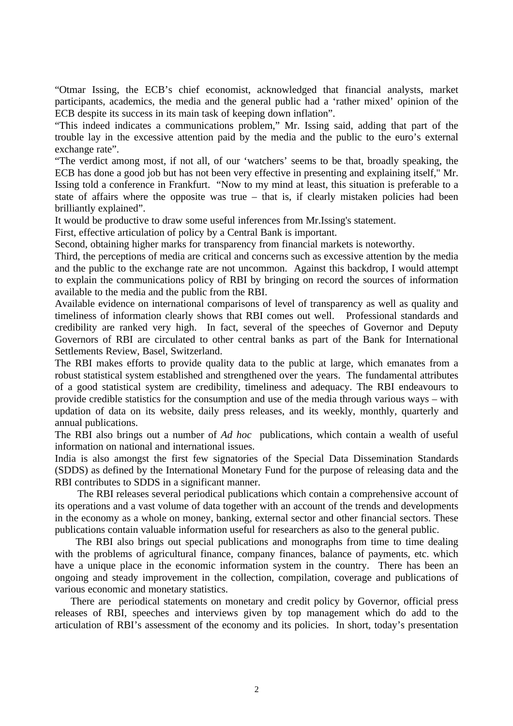"Otmar Issing, the ECB's chief economist, acknowledged that financial analysts, market participants, academics, the media and the general public had a 'rather mixed' opinion of the ECB despite its success in its main task of keeping down inflation".

"This indeed indicates a communications problem," Mr. Issing said, adding that part of the trouble lay in the excessive attention paid by the media and the public to the euro's external exchange rate".

"The verdict among most, if not all, of our 'watchers' seems to be that, broadly speaking, the ECB has done a good job but has not been very effective in presenting and explaining itself," Mr. Issing told a conference in Frankfurt. "Now to my mind at least, this situation is preferable to a state of affairs where the opposite was true – that is, if clearly mistaken policies had been brilliantly explained".

It would be productive to draw some useful inferences from Mr.Issing's statement.

First, effective articulation of policy by a Central Bank is important.

Second, obtaining higher marks for transparency from financial markets is noteworthy.

Third, the perceptions of media are critical and concerns such as excessive attention by the media and the public to the exchange rate are not uncommon. Against this backdrop, I would attempt to explain the communications policy of RBI by bringing on record the sources of information available to the media and the public from the RBI.

Available evidence on international comparisons of level of transparency as well as quality and timeliness of information clearly shows that RBI comes out well. Professional standards and credibility are ranked very high. In fact, several of the speeches of Governor and Deputy Governors of RBI are circulated to other central banks as part of the Bank for International Settlements Review, Basel, Switzerland.

The RBI makes efforts to provide quality data to the public at large, which emanates from a robust statistical system established and strengthened over the years. The fundamental attributes of a good statistical system are credibility, timeliness and adequacy. The RBI endeavours to provide credible statistics for the consumption and use of the media through various ways – with updation of data on its website, daily press releases, and its weekly, monthly, quarterly and annual publications.

The RBI also brings out a number of *Ad hoc* publications, which contain a wealth of useful information on national and international issues.

India is also amongst the first few signatories of the Special Data Dissemination Standards (SDDS) as defined by the International Monetary Fund for the purpose of releasing data and the RBI contributes to SDDS in a significant manner.

 The RBI releases several periodical publications which contain a comprehensive account of its operations and a vast volume of data together with an account of the trends and developments in the economy as a whole on money, banking, external sector and other financial sectors. These publications contain valuable information useful for researchers as also to the general public.

 The RBI also brings out special publications and monographs from time to time dealing with the problems of agricultural finance, company finances, balance of payments, etc. which have a unique place in the economic information system in the country. There has been an ongoing and steady improvement in the collection, compilation, coverage and publications of various economic and monetary statistics.

 There are periodical statements on monetary and credit policy by Governor, official press releases of RBI, speeches and interviews given by top management which do add to the articulation of RBI's assessment of the economy and its policies. In short, today's presentation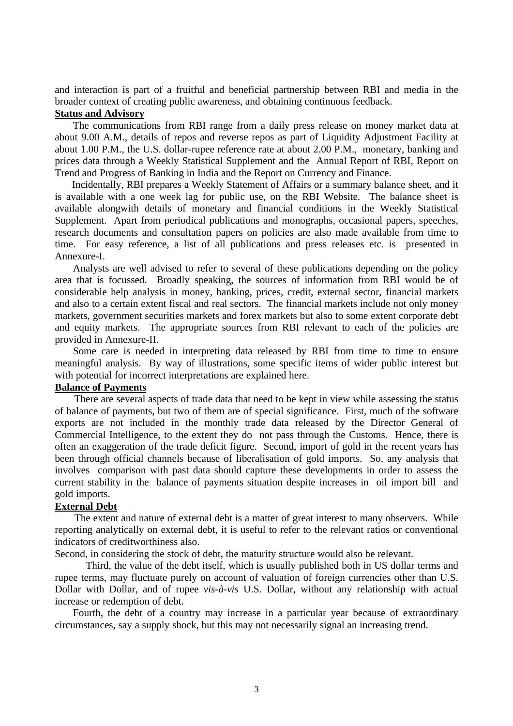and interaction is part of a fruitful and beneficial partnership between RBI and media in the broader context of creating public awareness, and obtaining continuous feedback.

# **Status and Advisory**

 The communications from RBI range from a daily press release on money market data at about 9.00 A.M., details of repos and reverse repos as part of Liquidity Adjustment Facility at about 1.00 P.M., the U.S. dollar-rupee reference rate at about 2.00 P.M., monetary, banking and prices data through a Weekly Statistical Supplement and the Annual Report of RBI, Report on Trend and Progress of Banking in India and the Report on Currency and Finance.

 Incidentally, RBI prepares a Weekly Statement of Affairs or a summary balance sheet, and it is available with a one week lag for public use, on the RBI Website. The balance sheet is available alongwith details of monetary and financial conditions in the Weekly Statistical Supplement. Apart from periodical publications and monographs, occasional papers, speeches, research documents and consultation papers on policies are also made available from time to time. For easy reference, a list of all publications and press releases etc. is presented in Annexure-I.

 Analysts are well advised to refer to several of these publications depending on the policy area that is focussed. Broadly speaking, the sources of information from RBI would be of considerable help analysis in money, banking, prices, credit, external sector, financial markets and also to a certain extent fiscal and real sectors. The financial markets include not only money markets, government securities markets and forex markets but also to some extent corporate debt and equity markets. The appropriate sources from RBI relevant to each of the policies are provided in Annexure-II.

 Some care is needed in interpreting data released by RBI from time to time to ensure meaningful analysis. By way of illustrations, some specific items of wider public interest but with potential for incorrect interpretations are explained here.

#### **Balance of Payments**

 There are several aspects of trade data that need to be kept in view while assessing the status of balance of payments, but two of them are of special significance. First, much of the software exports are not included in the monthly trade data released by the Director General of Commercial Intelligence, to the extent they do not pass through the Customs. Hence, there is often an exaggeration of the trade deficit figure. Second, import of gold in the recent years has been through official channels because of liberalisation of gold imports. So, any analysis that involves comparison with past data should capture these developments in order to assess the current stability in the balance of payments situation despite increases in oil import bill and gold imports.

#### **External Debt**

 The extent and nature of external debt is a matter of great interest to many observers. While reporting analytically on external debt, it is useful to refer to the relevant ratios or conventional indicators of creditworthiness also.

Second, in considering the stock of debt, the maturity structure would also be relevant.

 Third, the value of the debt itself, which is usually published both in US dollar terms and rupee terms, may fluctuate purely on account of valuation of foreign currencies other than U.S. Dollar with Dollar, and of rupee *vis-à-vis* U.S. Dollar, without any relationship with actual increase or redemption of debt.

 Fourth, the debt of a country may increase in a particular year because of extraordinary circumstances, say a supply shock, but this may not necessarily signal an increasing trend.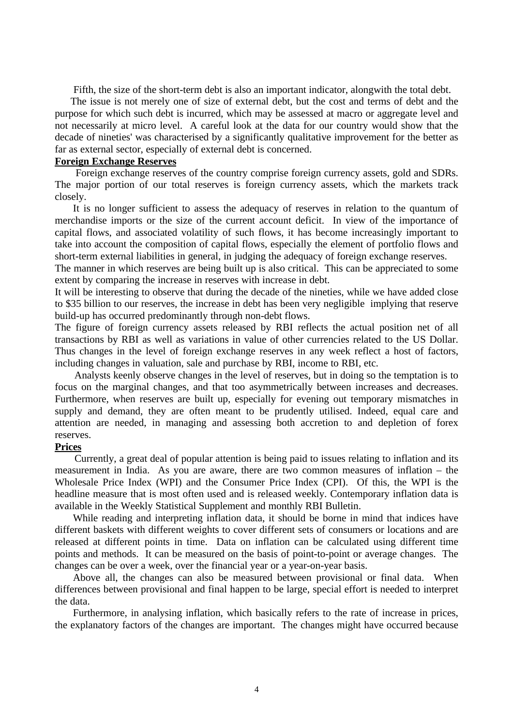Fifth, the size of the short-term debt is also an important indicator, alongwith the total debt.

 The issue is not merely one of size of external debt, but the cost and terms of debt and the purpose for which such debt is incurred, which may be assessed at macro or aggregate level and not necessarily at micro level. A careful look at the data for our country would show that the decade of nineties' was characterised by a significantly qualitative improvement for the better as far as external sector, especially of external debt is concerned.

## **Foreign Exchange Reserves**

 Foreign exchange reserves of the country comprise foreign currency assets, gold and SDRs. The major portion of our total reserves is foreign currency assets, which the markets track closely.

 It is no longer sufficient to assess the adequacy of reserves in relation to the quantum of merchandise imports or the size of the current account deficit. In view of the importance of capital flows, and associated volatility of such flows, it has become increasingly important to take into account the composition of capital flows, especially the element of portfolio flows and short-term external liabilities in general, in judging the adequacy of foreign exchange reserves.

The manner in which reserves are being built up is also critical. This can be appreciated to some extent by comparing the increase in reserves with increase in debt.

It will be interesting to observe that during the decade of the nineties, while we have added close to \$35 billion to our reserves, the increase in debt has been very negligible implying that reserve build-up has occurred predominantly through non-debt flows.

The figure of foreign currency assets released by RBI reflects the actual position net of all transactions by RBI as well as variations in value of other currencies related to the US Dollar. Thus changes in the level of foreign exchange reserves in any week reflect a host of factors, including changes in valuation, sale and purchase by RBI, income to RBI, etc.

 Analysts keenly observe changes in the level of reserves, but in doing so the temptation is to focus on the marginal changes, and that too asymmetrically between increases and decreases. Furthermore, when reserves are built up, especially for evening out temporary mismatches in supply and demand, they are often meant to be prudently utilised. Indeed, equal care and attention are needed, in managing and assessing both accretion to and depletion of forex reserves.

#### **Prices**

 Currently, a great deal of popular attention is being paid to issues relating to inflation and its measurement in India. As you are aware, there are two common measures of inflation – the Wholesale Price Index (WPI) and the Consumer Price Index (CPI). Of this, the WPI is the headline measure that is most often used and is released weekly. Contemporary inflation data is available in the Weekly Statistical Supplement and monthly RBI Bulletin.

 While reading and interpreting inflation data, it should be borne in mind that indices have different baskets with different weights to cover different sets of consumers or locations and are released at different points in time. Data on inflation can be calculated using different time points and methods. It can be measured on the basis of point-to-point or average changes. The changes can be over a week, over the financial year or a year-on-year basis.

 Above all, the changes can also be measured between provisional or final data. When differences between provisional and final happen to be large, special effort is needed to interpret the data.

 Furthermore, in analysing inflation, which basically refers to the rate of increase in prices, the explanatory factors of the changes are important. The changes might have occurred because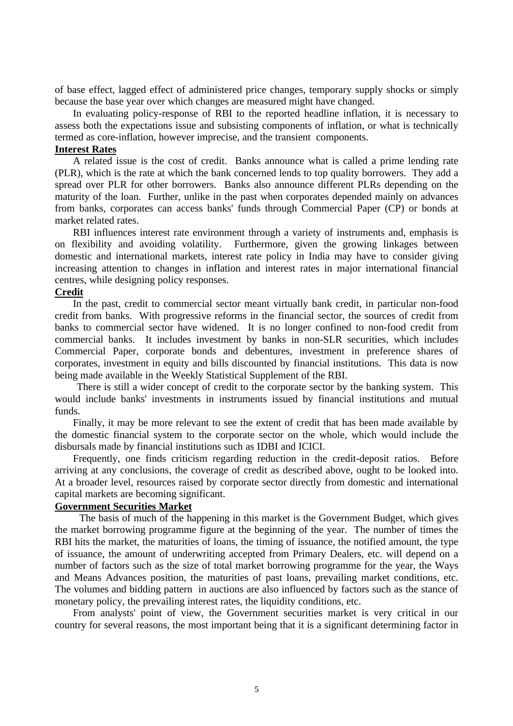of base effect, lagged effect of administered price changes, temporary supply shocks or simply because the base year over which changes are measured might have changed.

 In evaluating policy-response of RBI to the reported headline inflation, it is necessary to assess both the expectations issue and subsisting components of inflation, or what is technically termed as core-inflation, however imprecise, and the transient components.

#### **Interest Rates**

 A related issue is the cost of credit. Banks announce what is called a prime lending rate (PLR), which is the rate at which the bank concerned lends to top quality borrowers. They add a spread over PLR for other borrowers. Banks also announce different PLRs depending on the maturity of the loan. Further, unlike in the past when corporates depended mainly on advances from banks, corporates can access banks' funds through Commercial Paper (CP) or bonds at market related rates.

 RBI influences interest rate environment through a variety of instruments and, emphasis is on flexibility and avoiding volatility. Furthermore, given the growing linkages between domestic and international markets, interest rate policy in India may have to consider giving increasing attention to changes in inflation and interest rates in major international financial centres, while designing policy responses.

#### **Credit**

 In the past, credit to commercial sector meant virtually bank credit, in particular non-food credit from banks. With progressive reforms in the financial sector, the sources of credit from banks to commercial sector have widened. It is no longer confined to non-food credit from commercial banks. It includes investment by banks in non-SLR securities, which includes Commercial Paper, corporate bonds and debentures, investment in preference shares of corporates, investment in equity and bills discounted by financial institutions. This data is now being made available in the Weekly Statistical Supplement of the RBI.

 There is still a wider concept of credit to the corporate sector by the banking system. This would include banks' investments in instruments issued by financial institutions and mutual funds.

 Finally, it may be more relevant to see the extent of credit that has been made available by the domestic financial system to the corporate sector on the whole, which would include the disbursals made by financial institutions such as IDBI and ICICI.

 Frequently, one finds criticism regarding reduction in the credit-deposit ratios. Before arriving at any conclusions, the coverage of credit as described above, ought to be looked into. At a broader level, resources raised by corporate sector directly from domestic and international capital markets are becoming significant.

#### **Government Securities Market**

 The basis of much of the happening in this market is the Government Budget, which gives the market borrowing programme figure at the beginning of the year. The number of times the RBI hits the market, the maturities of loans, the timing of issuance, the notified amount, the type of issuance, the amount of underwriting accepted from Primary Dealers, etc. will depend on a number of factors such as the size of total market borrowing programme for the year, the Ways and Means Advances position, the maturities of past loans, prevailing market conditions, etc. The volumes and bidding pattern in auctions are also influenced by factors such as the stance of monetary policy, the prevailing interest rates, the liquidity conditions, etc.

 From analysts' point of view, the Government securities market is very critical in our country for several reasons, the most important being that it is a significant determining factor in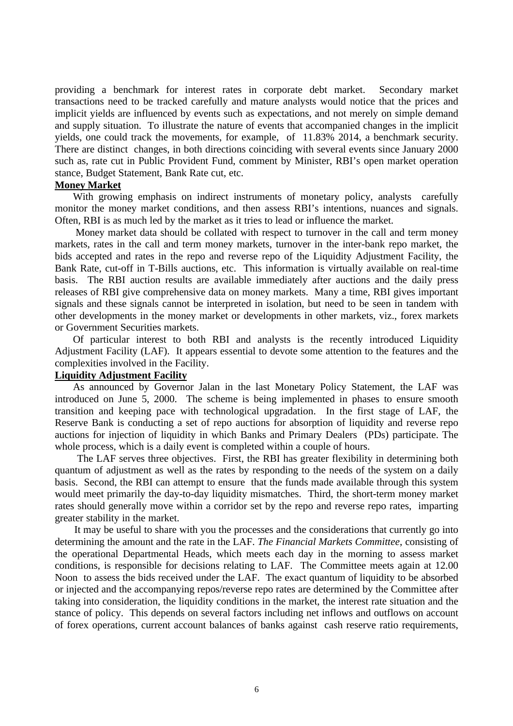providing a benchmark for interest rates in corporate debt market. Secondary market transactions need to be tracked carefully and mature analysts would notice that the prices and implicit yields are influenced by events such as expectations, and not merely on simple demand and supply situation. To illustrate the nature of events that accompanied changes in the implicit yields, one could track the movements, for example, of 11.83% 2014, a benchmark security. There are distinct changes, in both directions coinciding with several events since January 2000 such as, rate cut in Public Provident Fund, comment by Minister, RBI's open market operation stance, Budget Statement, Bank Rate cut, etc.

#### **Money Market**

 With growing emphasis on indirect instruments of monetary policy, analysts carefully monitor the money market conditions, and then assess RBI's intentions, nuances and signals. Often, RBI is as much led by the market as it tries to lead or influence the market.

 Money market data should be collated with respect to turnover in the call and term money markets, rates in the call and term money markets, turnover in the inter-bank repo market, the bids accepted and rates in the repo and reverse repo of the Liquidity Adjustment Facility, the Bank Rate, cut-off in T-Bills auctions, etc. This information is virtually available on real-time basis. The RBI auction results are available immediately after auctions and the daily press releases of RBI give comprehensive data on money markets. Many a time, RBI gives important signals and these signals cannot be interpreted in isolation, but need to be seen in tandem with other developments in the money market or developments in other markets, viz., forex markets or Government Securities markets.

 Of particular interest to both RBI and analysts is the recently introduced Liquidity Adjustment Facility (LAF). It appears essential to devote some attention to the features and the complexities involved in the Facility.

#### **Liquidity Adjustment Facility**

 As announced by Governor Jalan in the last Monetary Policy Statement, the LAF was introduced on June 5, 2000. The scheme is being implemented in phases to ensure smooth transition and keeping pace with technological upgradation. In the first stage of LAF, the Reserve Bank is conducting a set of repo auctions for absorption of liquidity and reverse repo auctions for injection of liquidity in which Banks and Primary Dealers (PDs) participate. The whole process, which is a daily event is completed within a couple of hours.

 The LAF serves three objectives. First, the RBI has greater flexibility in determining both quantum of adjustment as well as the rates by responding to the needs of the system on a daily basis. Second, the RBI can attempt to ensure that the funds made available through this system would meet primarily the day-to-day liquidity mismatches. Third, the short-term money market rates should generally move within a corridor set by the repo and reverse repo rates, imparting greater stability in the market.

 It may be useful to share with you the processes and the considerations that currently go into determining the amount and the rate in the LAF. *The Financial Markets Committee*, consisting of the operational Departmental Heads, which meets each day in the morning to assess market conditions, is responsible for decisions relating to LAF. The Committee meets again at 12.00 Noon to assess the bids received under the LAF. The exact quantum of liquidity to be absorbed or injected and the accompanying repos/reverse repo rates are determined by the Committee after taking into consideration, the liquidity conditions in the market, the interest rate situation and the stance of policy. This depends on several factors including net inflows and outflows on account of forex operations, current account balances of banks against cash reserve ratio requirements,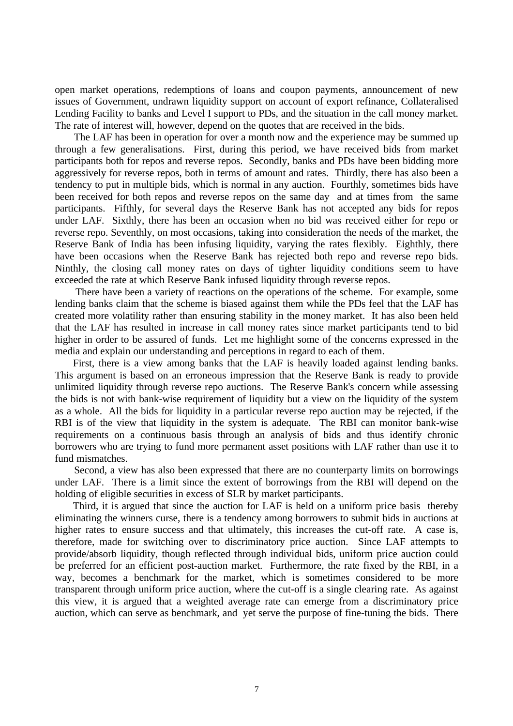open market operations, redemptions of loans and coupon payments, announcement of new issues of Government, undrawn liquidity support on account of export refinance, Collateralised Lending Facility to banks and Level I support to PDs, and the situation in the call money market. The rate of interest will, however, depend on the quotes that are received in the bids.

 The LAF has been in operation for over a month now and the experience may be summed up through a few generalisations. First, during this period, we have received bids from market participants both for repos and reverse repos. Secondly, banks and PDs have been bidding more aggressively for reverse repos, both in terms of amount and rates. Thirdly, there has also been a tendency to put in multiple bids, which is normal in any auction. Fourthly, sometimes bids have been received for both repos and reverse repos on the same day and at times from the same participants. Fifthly, for several days the Reserve Bank has not accepted any bids for repos under LAF. Sixthly, there has been an occasion when no bid was received either for repo or reverse repo. Seventhly, on most occasions, taking into consideration the needs of the market, the Reserve Bank of India has been infusing liquidity, varying the rates flexibly. Eighthly, there have been occasions when the Reserve Bank has rejected both repo and reverse repo bids. Ninthly, the closing call money rates on days of tighter liquidity conditions seem to have exceeded the rate at which Reserve Bank infused liquidity through reverse repos.

 There have been a variety of reactions on the operations of the scheme. For example, some lending banks claim that the scheme is biased against them while the PDs feel that the LAF has created more volatility rather than ensuring stability in the money market. It has also been held that the LAF has resulted in increase in call money rates since market participants tend to bid higher in order to be assured of funds. Let me highlight some of the concerns expressed in the media and explain our understanding and perceptions in regard to each of them.

 First, there is a view among banks that the LAF is heavily loaded against lending banks. This argument is based on an erroneous impression that the Reserve Bank is ready to provide unlimited liquidity through reverse repo auctions. The Reserve Bank's concern while assessing the bids is not with bank-wise requirement of liquidity but a view on the liquidity of the system as a whole. All the bids for liquidity in a particular reverse repo auction may be rejected, if the RBI is of the view that liquidity in the system is adequate. The RBI can monitor bank-wise requirements on a continuous basis through an analysis of bids and thus identify chronic borrowers who are trying to fund more permanent asset positions with LAF rather than use it to fund mismatches.

 Second, a view has also been expressed that there are no counterparty limits on borrowings under LAF. There is a limit since the extent of borrowings from the RBI will depend on the holding of eligible securities in excess of SLR by market participants.

 Third, it is argued that since the auction for LAF is held on a uniform price basis thereby eliminating the winners curse, there is a tendency among borrowers to submit bids in auctions at higher rates to ensure success and that ultimately, this increases the cut-off rate. A case is, therefore, made for switching over to discriminatory price auction. Since LAF attempts to provide/absorb liquidity, though reflected through individual bids, uniform price auction could be preferred for an efficient post-auction market. Furthermore, the rate fixed by the RBI, in a way, becomes a benchmark for the market, which is sometimes considered to be more transparent through uniform price auction, where the cut-off is a single clearing rate. As against this view, it is argued that a weighted average rate can emerge from a discriminatory price auction, which can serve as benchmark, and yet serve the purpose of fine-tuning the bids. There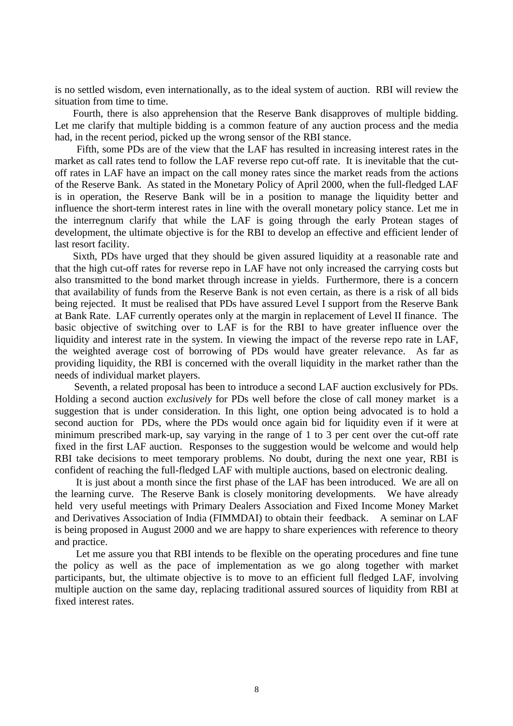is no settled wisdom, even internationally, as to the ideal system of auction. RBI will review the situation from time to time.

 Fourth, there is also apprehension that the Reserve Bank disapproves of multiple bidding. Let me clarify that multiple bidding is a common feature of any auction process and the media had, in the recent period, picked up the wrong sensor of the RBI stance.

 Fifth, some PDs are of the view that the LAF has resulted in increasing interest rates in the market as call rates tend to follow the LAF reverse repo cut-off rate. It is inevitable that the cutoff rates in LAF have an impact on the call money rates since the market reads from the actions of the Reserve Bank. As stated in the Monetary Policy of April 2000, when the full-fledged LAF is in operation, the Reserve Bank will be in a position to manage the liquidity better and influence the short-term interest rates in line with the overall monetary policy stance. Let me in the interregnum clarify that while the LAF is going through the early Protean stages of development, the ultimate objective is for the RBI to develop an effective and efficient lender of last resort facility.

 Sixth, PDs have urged that they should be given assured liquidity at a reasonable rate and that the high cut-off rates for reverse repo in LAF have not only increased the carrying costs but also transmitted to the bond market through increase in yields. Furthermore, there is a concern that availability of funds from the Reserve Bank is not even certain, as there is a risk of all bids being rejected. It must be realised that PDs have assured Level I support from the Reserve Bank at Bank Rate. LAF currently operates only at the margin in replacement of Level II finance. The basic objective of switching over to LAF is for the RBI to have greater influence over the liquidity and interest rate in the system. In viewing the impact of the reverse repo rate in LAF, the weighted average cost of borrowing of PDs would have greater relevance. As far as providing liquidity, the RBI is concerned with the overall liquidity in the market rather than the needs of individual market players.

 Seventh, a related proposal has been to introduce a second LAF auction exclusively for PDs. Holding a second auction *exclusively* for PDs well before the close of call money market is a suggestion that is under consideration. In this light, one option being advocated is to hold a second auction for PDs, where the PDs would once again bid for liquidity even if it were at minimum prescribed mark-up, say varying in the range of 1 to 3 per cent over the cut-off rate fixed in the first LAF auction. Responses to the suggestion would be welcome and would help RBI take decisions to meet temporary problems. No doubt, during the next one year, RBI is confident of reaching the full-fledged LAF with multiple auctions, based on electronic dealing.

 It is just about a month since the first phase of the LAF has been introduced. We are all on the learning curve. The Reserve Bank is closely monitoring developments. We have already held very useful meetings with Primary Dealers Association and Fixed Income Money Market and Derivatives Association of India (FIMMDAI) to obtain their feedback. A seminar on LAF is being proposed in August 2000 and we are happy to share experiences with reference to theory and practice.

 Let me assure you that RBI intends to be flexible on the operating procedures and fine tune the policy as well as the pace of implementation as we go along together with market participants, but, the ultimate objective is to move to an efficient full fledged LAF, involving multiple auction on the same day, replacing traditional assured sources of liquidity from RBI at fixed interest rates.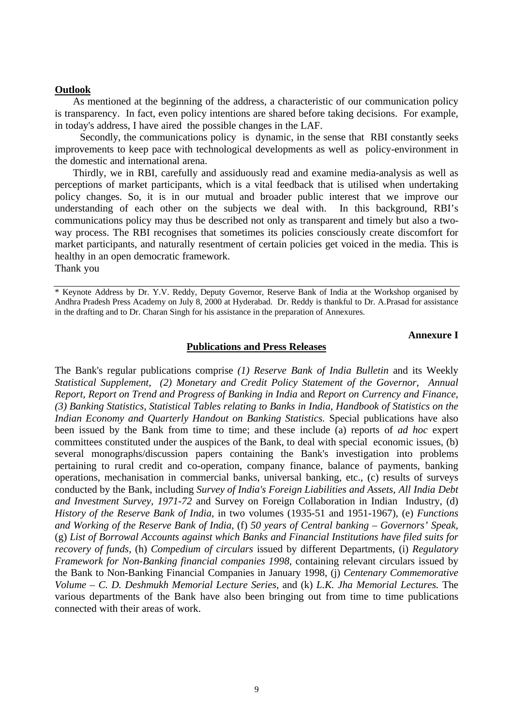#### **Outlook**

 As mentioned at the beginning of the address, a characteristic of our communication policy is transparency. In fact, even policy intentions are shared before taking decisions. For example, in today's address, I have aired the possible changes in the LAF.

 Secondly, the communications policy is dynamic, in the sense that RBI constantly seeks improvements to keep pace with technological developments as well as policy-environment in the domestic and international arena.

 Thirdly, we in RBI, carefully and assiduously read and examine media-analysis as well as perceptions of market participants, which is a vital feedback that is utilised when undertaking policy changes. So, it is in our mutual and broader public interest that we improve our understanding of each other on the subjects we deal with. In this background, RBI's communications policy may thus be described not only as transparent and timely but also a twoway process. The RBI recognises that sometimes its policies consciously create discomfort for market participants, and naturally resentment of certain policies get voiced in the media. This is healthy in an open democratic framework.

Thank you

#### **Annexure I**

#### **Publications and Press Releases**

The Bank's regular publications comprise *(1) Reserve Bank of India Bulletin* and its Weekly *Statistical Supplement*, *(2) Monetary and Credit Policy Statement of the Governor*, *Annual Report*, *Report on Trend and Progress of Banking in India* and *Report on Currency and Finance, (3) Banking Statistics, Statistical Tables relating to Banks in India, Handbook of Statistics on the Indian Economy and Quarterly Handout on Banking Statistics.* Special publications have also been issued by the Bank from time to time; and these include (a) reports of *ad hoc* expert committees constituted under the auspices of the Bank, to deal with special economic issues, (b) several monographs/discussion papers containing the Bank's investigation into problems pertaining to rural credit and co-operation, company finance, balance of payments, banking operations, mechanisation in commercial banks, universal banking, etc., (c) results of surveys conducted by the Bank, including *Survey of India's Foreign Liabilities and Assets*, *All India Debt and Investment Survey, 1971-72* and Survey on Foreign Collaboration in Indian Industry, (d) *History of the Reserve Bank of India,* in two volumes (1935-51 and 1951-1967), (e) *Functions and Working of the Reserve Bank of India*, (f) *50 years of Central banking – Governors' Speak,* (g) *List of Borrowal Accounts against which Banks and Financial Institutions have filed suits for recovery of funds,* (h) *Compedium of circulars* issued by different Departments, (i) *Regulatory Framework for Non-Banking financial companies 1998,* containing relevant circulars issued by the Bank to Non-Banking Financial Companies in January 1998, (j) *Centenary Commemorative Volume – C. D. Deshmukh Memorial Lecture Series,* and (k) *L.K. Jha Memorial Lectures.* The various departments of the Bank have also been bringing out from time to time publications connected with their areas of work.

<sup>\*</sup> Keynote Address by Dr. Y.V. Reddy, Deputy Governor, Reserve Bank of India at the Workshop organised by Andhra Pradesh Press Academy on July 8, 2000 at Hyderabad. Dr. Reddy is thankful to Dr. A.Prasad for assistance in the drafting and to Dr. Charan Singh for his assistance in the preparation of Annexures.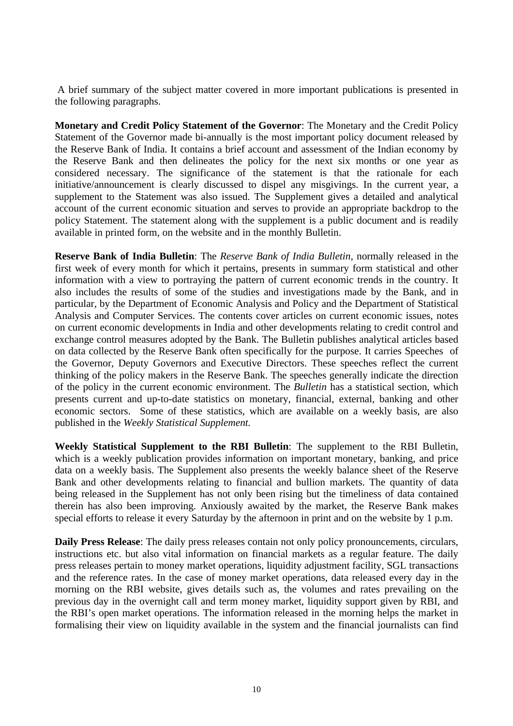A brief summary of the subject matter covered in more important publications is presented in the following paragraphs.

**Monetary and Credit Policy Statement of the Governor**: The Monetary and the Credit Policy Statement of the Governor made bi-annually is the most important policy document released by the Reserve Bank of India. It contains a brief account and assessment of the Indian economy by the Reserve Bank and then delineates the policy for the next six months or one year as considered necessary. The significance of the statement is that the rationale for each initiative/announcement is clearly discussed to dispel any misgivings. In the current year, a supplement to the Statement was also issued. The Supplement gives a detailed and analytical account of the current economic situation and serves to provide an appropriate backdrop to the policy Statement. The statement along with the supplement is a public document and is readily available in printed form, on the website and in the monthly Bulletin.

**Reserve Bank of India Bulletin**: The *Reserve Bank of India Bulletin,* normally released in the first week of every month for which it pertains, presents in summary form statistical and other information with a view to portraying the pattern of current economic trends in the country. It also includes the results of some of the studies and investigations made by the Bank, and in particular, by the Department of Economic Analysis and Policy and the Department of Statistical Analysis and Computer Services. The contents cover articles on current economic issues, notes on current economic developments in India and other developments relating to credit control and exchange control measures adopted by the Bank. The Bulletin publishes analytical articles based on data collected by the Reserve Bank often specifically for the purpose. It carries Speeches of the Governor, Deputy Governors and Executive Directors. These speeches reflect the current thinking of the policy makers in the Reserve Bank. The speeches generally indicate the direction of the policy in the current economic environment. The *Bulletin* has a statistical section, which presents current and up-to-date statistics on monetary, financial, external, banking and other economic sectors. Some of these statistics, which are available on a weekly basis, are also published in the *Weekly Statistical Supplement.*

**Weekly Statistical Supplement to the RBI Bulletin**: The supplement to the RBI Bulletin, which is a weekly publication provides information on important monetary, banking, and price data on a weekly basis. The Supplement also presents the weekly balance sheet of the Reserve Bank and other developments relating to financial and bullion markets. The quantity of data being released in the Supplement has not only been rising but the timeliness of data contained therein has also been improving. Anxiously awaited by the market, the Reserve Bank makes special efforts to release it every Saturday by the afternoon in print and on the website by 1 p.m.

**Daily Press Release**: The daily press releases contain not only policy pronouncements, circulars, instructions etc. but also vital information on financial markets as a regular feature. The daily press releases pertain to money market operations, liquidity adjustment facility, SGL transactions and the reference rates. In the case of money market operations, data released every day in the morning on the RBI website, gives details such as, the volumes and rates prevailing on the previous day in the overnight call and term money market, liquidity support given by RBI, and the RBI's open market operations. The information released in the morning helps the market in formalising their view on liquidity available in the system and the financial journalists can find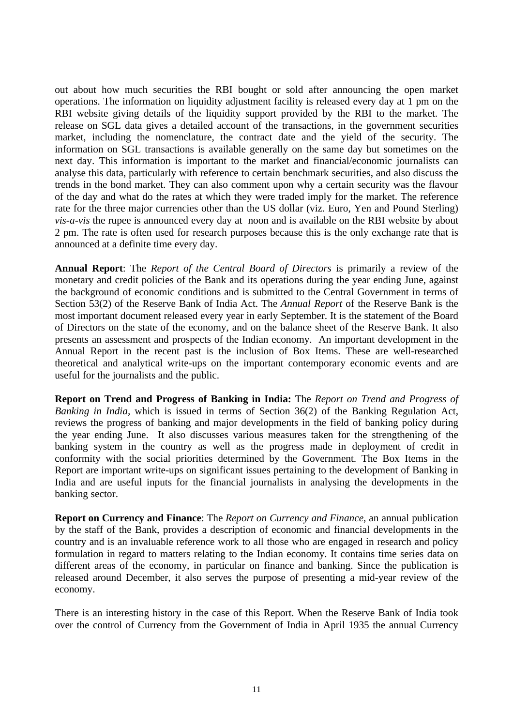out about how much securities the RBI bought or sold after announcing the open market operations. The information on liquidity adjustment facility is released every day at 1 pm on the RBI website giving details of the liquidity support provided by the RBI to the market. The release on SGL data gives a detailed account of the transactions, in the government securities market, including the nomenclature, the contract date and the yield of the security. The information on SGL transactions is available generally on the same day but sometimes on the next day. This information is important to the market and financial/economic journalists can analyse this data, particularly with reference to certain benchmark securities, and also discuss the trends in the bond market. They can also comment upon why a certain security was the flavour of the day and what do the rates at which they were traded imply for the market. The reference rate for the three major currencies other than the US dollar (viz. Euro, Yen and Pound Sterling) *vis-a-vis* the rupee is announced every day at noon and is available on the RBI website by about 2 pm. The rate is often used for research purposes because this is the only exchange rate that is announced at a definite time every day.

**Annual Report**: The *Report of the Central Board of Directors* is primarily a review of the monetary and credit policies of the Bank and its operations during the year ending June, against the background of economic conditions and is submitted to the Central Government in terms of Section 53(2) of the Reserve Bank of India Act. The *Annual Report* of the Reserve Bank is the most important document released every year in early September. It is the statement of the Board of Directors on the state of the economy, and on the balance sheet of the Reserve Bank. It also presents an assessment and prospects of the Indian economy. An important development in the Annual Report in the recent past is the inclusion of Box Items. These are well-researched theoretical and analytical write-ups on the important contemporary economic events and are useful for the journalists and the public.

**Report on Trend and Progress of Banking in India:** The *Report on Trend and Progress of Banking in India,* which is issued in terms of Section 36(2) of the Banking Regulation Act, reviews the progress of banking and major developments in the field of banking policy during the year ending June. It also discusses various measures taken for the strengthening of the banking system in the country as well as the progress made in deployment of credit in conformity with the social priorities determined by the Government. The Box Items in the Report are important write-ups on significant issues pertaining to the development of Banking in India and are useful inputs for the financial journalists in analysing the developments in the banking sector.

**Report on Currency and Finance**: The *Report on Currency and Finance*, an annual publication by the staff of the Bank, provides a description of economic and financial developments in the country and is an invaluable reference work to all those who are engaged in research and policy formulation in regard to matters relating to the Indian economy. It contains time series data on different areas of the economy, in particular on finance and banking. Since the publication is released around December, it also serves the purpose of presenting a mid-year review of the economy.

There is an interesting history in the case of this Report. When the Reserve Bank of India took over the control of Currency from the Government of India in April 1935 the annual Currency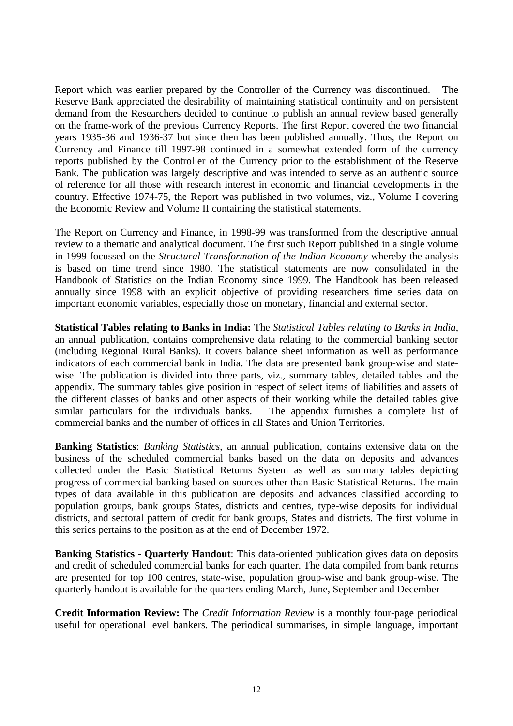Report which was earlier prepared by the Controller of the Currency was discontinued. The Reserve Bank appreciated the desirability of maintaining statistical continuity and on persistent demand from the Researchers decided to continue to publish an annual review based generally on the frame-work of the previous Currency Reports. The first Report covered the two financial years 1935-36 and 1936-37 but since then has been published annually. Thus, the Report on Currency and Finance till 1997-98 continued in a somewhat extended form of the currency reports published by the Controller of the Currency prior to the establishment of the Reserve Bank. The publication was largely descriptive and was intended to serve as an authentic source of reference for all those with research interest in economic and financial developments in the country. Effective 1974-75, the Report was published in two volumes, viz., Volume I covering the Economic Review and Volume II containing the statistical statements.

The Report on Currency and Finance, in 1998-99 was transformed from the descriptive annual review to a thematic and analytical document. The first such Report published in a single volume in 1999 focussed on the *Structural Transformation of the Indian Economy* whereby the analysis is based on time trend since 1980. The statistical statements are now consolidated in the Handbook of Statistics on the Indian Economy since 1999. The Handbook has been released annually since 1998 with an explicit objective of providing researchers time series data on important economic variables, especially those on monetary, financial and external sector.

**Statistical Tables relating to Banks in India:** The *Statistical Tables relating to Banks in India*, an annual publication, contains comprehensive data relating to the commercial banking sector (including Regional Rural Banks). It covers balance sheet information as well as performance indicators of each commercial bank in India. The data are presented bank group-wise and statewise. The publication is divided into three parts, viz., summary tables, detailed tables and the appendix. The summary tables give position in respect of select items of liabilities and assets of the different classes of banks and other aspects of their working while the detailed tables give similar particulars for the individuals banks. The appendix furnishes a complete list of commercial banks and the number of offices in all States and Union Territories.

**Banking Statistics**: *Banking Statistics*, an annual publication, contains extensive data on the business of the scheduled commercial banks based on the data on deposits and advances collected under the Basic Statistical Returns System as well as summary tables depicting progress of commercial banking based on sources other than Basic Statistical Returns. The main types of data available in this publication are deposits and advances classified according to population groups, bank groups States, districts and centres, type-wise deposits for individual districts, and sectoral pattern of credit for bank groups, States and districts. The first volume in this series pertains to the position as at the end of December 1972.

**Banking Statistics - Quarterly Handout**: This data-oriented publication gives data on deposits and credit of scheduled commercial banks for each quarter. The data compiled from bank returns are presented for top 100 centres, state-wise, population group-wise and bank group-wise. The quarterly handout is available for the quarters ending March, June, September and December

**Credit Information Review:** The *Credit Information Review* is a monthly four-page periodical useful for operational level bankers. The periodical summarises, in simple language, important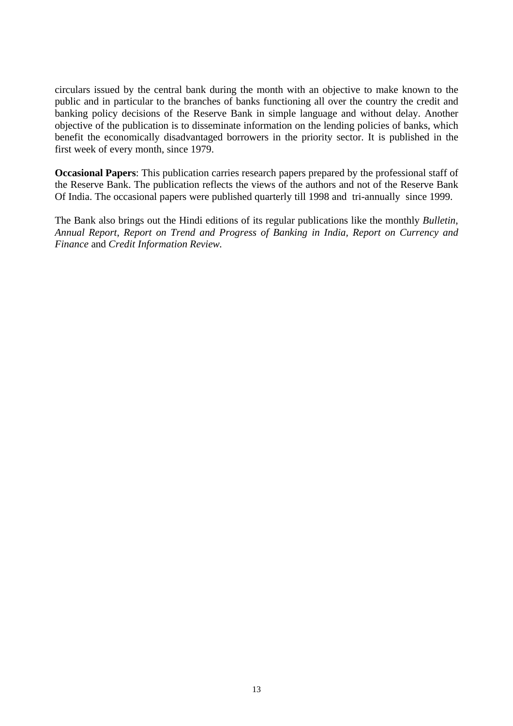circulars issued by the central bank during the month with an objective to make known to the public and in particular to the branches of banks functioning all over the country the credit and banking policy decisions of the Reserve Bank in simple language and without delay. Another objective of the publication is to disseminate information on the lending policies of banks, which benefit the economically disadvantaged borrowers in the priority sector. It is published in the first week of every month, since 1979.

**Occasional Papers**: This publication carries research papers prepared by the professional staff of the Reserve Bank. The publication reflects the views of the authors and not of the Reserve Bank Of India. The occasional papers were published quarterly till 1998 and tri-annually since 1999.

The Bank also brings out the Hindi editions of its regular publications like the monthly *Bulletin*, *Annual Report*, *Report on Trend and Progress of Banking in India, Report on Currency and Finance* and *Credit Information Review.*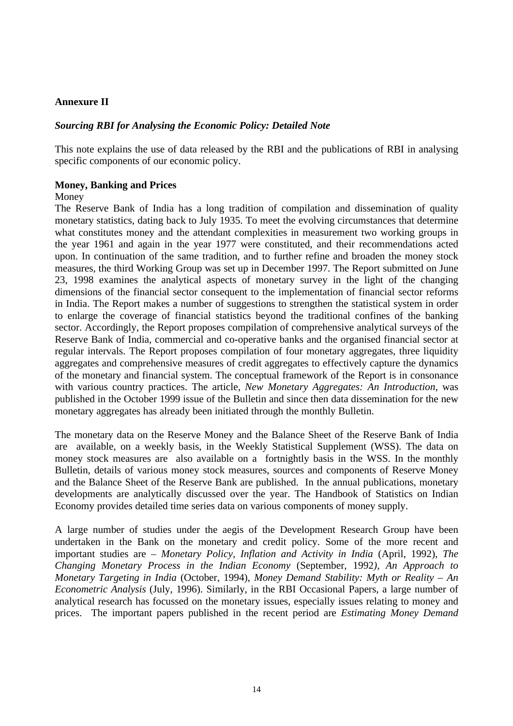# **Annexure II**

# *Sourcing RBI for Analysing the Economic Policy: Detailed Note*

This note explains the use of data released by the RBI and the publications of RBI in analysing specific components of our economic policy.

## **Money, Banking and Prices**

#### Money

The Reserve Bank of India has a long tradition of compilation and dissemination of quality monetary statistics, dating back to July 1935. To meet the evolving circumstances that determine what constitutes money and the attendant complexities in measurement two working groups in the year 1961 and again in the year 1977 were constituted, and their recommendations acted upon. In continuation of the same tradition, and to further refine and broaden the money stock measures, the third Working Group was set up in December 1997. The Report submitted on June 23, 1998 examines the analytical aspects of monetary survey in the light of the changing dimensions of the financial sector consequent to the implementation of financial sector reforms in India. The Report makes a number of suggestions to strengthen the statistical system in order to enlarge the coverage of financial statistics beyond the traditional confines of the banking sector. Accordingly, the Report proposes compilation of comprehensive analytical surveys of the Reserve Bank of India, commercial and co-operative banks and the organised financial sector at regular intervals. The Report proposes compilation of four monetary aggregates, three liquidity aggregates and comprehensive measures of credit aggregates to effectively capture the dynamics of the monetary and financial system. The conceptual framework of the Report is in consonance with various country practices. The article, *New Monetary Aggregates: An Introduction*, was published in the October 1999 issue of the Bulletin and since then data dissemination for the new monetary aggregates has already been initiated through the monthly Bulletin.

The monetary data on the Reserve Money and the Balance Sheet of the Reserve Bank of India are available, on a weekly basis, in the Weekly Statistical Supplement (WSS). The data on money stock measures are also available on a fortnightly basis in the WSS. In the monthly Bulletin, details of various money stock measures, sources and components of Reserve Money and the Balance Sheet of the Reserve Bank are published. In the annual publications, monetary developments are analytically discussed over the year. The Handbook of Statistics on Indian Economy provides detailed time series data on various components of money supply.

A large number of studies under the aegis of the Development Research Group have been undertaken in the Bank on the monetary and credit policy. Some of the more recent and important studies are – *Monetary Policy, Inflation and Activity in India* (April, 1992), *The Changing Monetary Process in the Indian Economy* (September, 1992*), An Approach to Monetary Targeting in India* (October, 1994), *Money Demand Stability: Myth or Reality – An Econometric Analysis* (July, 1996). Similarly, in the RBI Occasional Papers, a large number of analytical research has focussed on the monetary issues, especially issues relating to money and prices. The important papers published in the recent period are *Estimating Money Demand*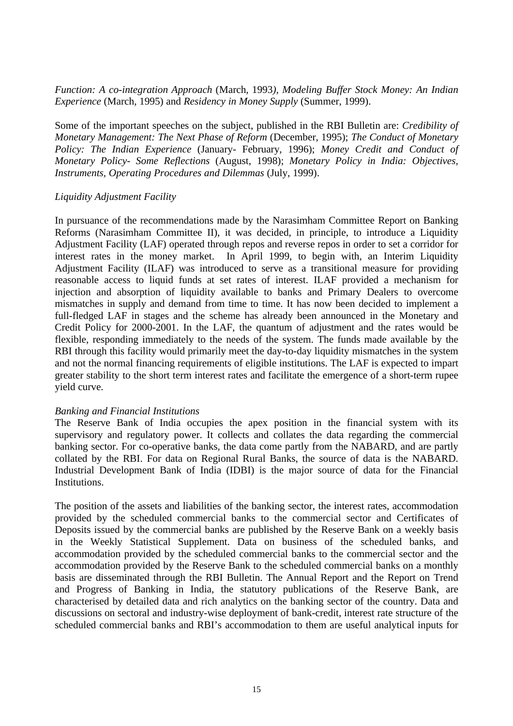*Function: A co-integration Approach* (March, 1993*), Modeling Buffer Stock Money: An Indian Experience* (March, 1995) and *Residency in Money Supply* (Summer, 1999).

Some of the important speeches on the subject, published in the RBI Bulletin are: *Credibility of Monetary Management: The Next Phase of Reform* (December, 1995); *The Conduct of Monetary Policy: The Indian Experience* (January- February, 1996); *Money Credit and Conduct of Monetary Policy- Some Reflections* (August, 1998); *Monetary Policy in India: Objectives, Instruments, Operating Procedures and Dilemmas* (July, 1999).

## *Liquidity Adjustment Facility*

In pursuance of the recommendations made by the Narasimham Committee Report on Banking Reforms (Narasimham Committee II), it was decided, in principle, to introduce a Liquidity Adjustment Facility (LAF) operated through repos and reverse repos in order to set a corridor for interest rates in the money market. In April 1999, to begin with, an Interim Liquidity Adjustment Facility (ILAF) was introduced to serve as a transitional measure for providing reasonable access to liquid funds at set rates of interest. ILAF provided a mechanism for injection and absorption of liquidity available to banks and Primary Dealers to overcome mismatches in supply and demand from time to time. It has now been decided to implement a full-fledged LAF in stages and the scheme has already been announced in the Monetary and Credit Policy for 2000-2001. In the LAF, the quantum of adjustment and the rates would be flexible, responding immediately to the needs of the system. The funds made available by the RBI through this facility would primarily meet the day-to-day liquidity mismatches in the system and not the normal financing requirements of eligible institutions. The LAF is expected to impart greater stability to the short term interest rates and facilitate the emergence of a short-term rupee yield curve.

## *Banking and Financial Institutions*

The Reserve Bank of India occupies the apex position in the financial system with its supervisory and regulatory power. It collects and collates the data regarding the commercial banking sector. For co-operative banks, the data come partly from the NABARD, and are partly collated by the RBI. For data on Regional Rural Banks, the source of data is the NABARD. Industrial Development Bank of India (IDBI) is the major source of data for the Financial **Institutions** 

The position of the assets and liabilities of the banking sector, the interest rates, accommodation provided by the scheduled commercial banks to the commercial sector and Certificates of Deposits issued by the commercial banks are published by the Reserve Bank on a weekly basis in the Weekly Statistical Supplement. Data on business of the scheduled banks, and accommodation provided by the scheduled commercial banks to the commercial sector and the accommodation provided by the Reserve Bank to the scheduled commercial banks on a monthly basis are disseminated through the RBI Bulletin. The Annual Report and the Report on Trend and Progress of Banking in India, the statutory publications of the Reserve Bank, are characterised by detailed data and rich analytics on the banking sector of the country. Data and discussions on sectoral and industry-wise deployment of bank-credit, interest rate structure of the scheduled commercial banks and RBI's accommodation to them are useful analytical inputs for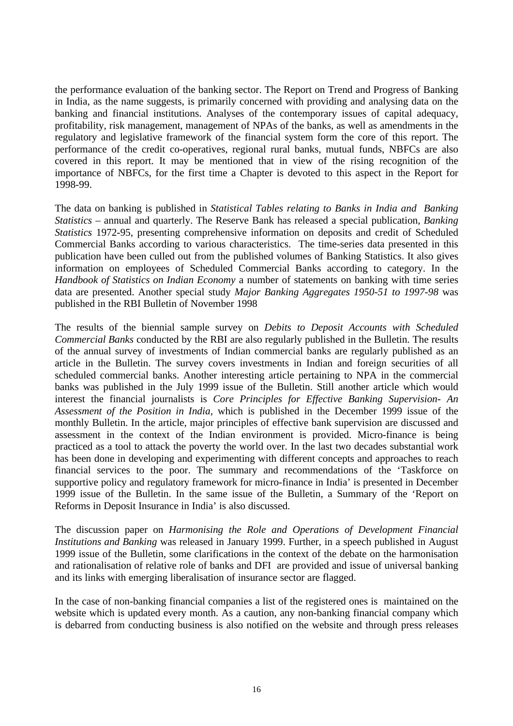the performance evaluation of the banking sector. The Report on Trend and Progress of Banking in India, as the name suggests, is primarily concerned with providing and analysing data on the banking and financial institutions. Analyses of the contemporary issues of capital adequacy, profitability, risk management, management of NPAs of the banks, as well as amendments in the regulatory and legislative framework of the financial system form the core of this report. The performance of the credit co-operatives, regional rural banks, mutual funds, NBFCs are also covered in this report. It may be mentioned that in view of the rising recognition of the importance of NBFCs, for the first time a Chapter is devoted to this aspect in the Report for 1998-99.

The data on banking is published in *Statistical Tables relating to Banks in India and Banking Statistics* – annual and quarterly. The Reserve Bank has released a special publication, *Banking Statistics* 1972-95, presenting comprehensive information on deposits and credit of Scheduled Commercial Banks according to various characteristics. The time-series data presented in this publication have been culled out from the published volumes of Banking Statistics. It also gives information on employees of Scheduled Commercial Banks according to category. In the *Handbook of Statistics on Indian Economy* a number of statements on banking with time series data are presented. Another special study *Major Banking Aggregates 1950-51 to 1997-98* was published in the RBI Bulletin of November 1998

The results of the biennial sample survey on *Debits to Deposit Accounts with Scheduled Commercial Banks* conducted by the RBI are also regularly published in the Bulletin. The results of the annual survey of investments of Indian commercial banks are regularly published as an article in the Bulletin. The survey covers investments in Indian and foreign securities of all scheduled commercial banks. Another interesting article pertaining to NPA in the commercial banks was published in the July 1999 issue of the Bulletin. Still another article which would interest the financial journalists is *Core Principles for Effective Banking Supervision- An Assessment of the Position in India*, which is published in the December 1999 issue of the monthly Bulletin. In the article, major principles of effective bank supervision are discussed and assessment in the context of the Indian environment is provided. Micro-finance is being practiced as a tool to attack the poverty the world over. In the last two decades substantial work has been done in developing and experimenting with different concepts and approaches to reach financial services to the poor. The summary and recommendations of the 'Taskforce on supportive policy and regulatory framework for micro-finance in India' is presented in December 1999 issue of the Bulletin. In the same issue of the Bulletin, a Summary of the 'Report on Reforms in Deposit Insurance in India' is also discussed.

The discussion paper on *Harmonising the Role and Operations of Development Financial Institutions and Banking* was released in January 1999. Further, in a speech published in August 1999 issue of the Bulletin, some clarifications in the context of the debate on the harmonisation and rationalisation of relative role of banks and DFI are provided and issue of universal banking and its links with emerging liberalisation of insurance sector are flagged.

In the case of non-banking financial companies a list of the registered ones is maintained on the website which is updated every month. As a caution, any non-banking financial company which is debarred from conducting business is also notified on the website and through press releases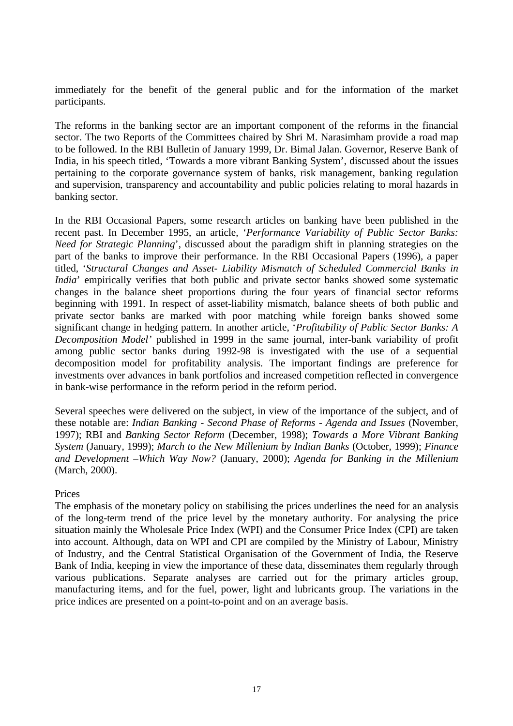immediately for the benefit of the general public and for the information of the market participants.

The reforms in the banking sector are an important component of the reforms in the financial sector. The two Reports of the Committees chaired by Shri M. Narasimham provide a road map to be followed. In the RBI Bulletin of January 1999, Dr. Bimal Jalan. Governor, Reserve Bank of India, in his speech titled, 'Towards a more vibrant Banking System', discussed about the issues pertaining to the corporate governance system of banks, risk management, banking regulation and supervision, transparency and accountability and public policies relating to moral hazards in banking sector.

In the RBI Occasional Papers, some research articles on banking have been published in the recent past. In December 1995, an article, '*Performance Variability of Public Sector Banks: Need for Strategic Planning*', discussed about the paradigm shift in planning strategies on the part of the banks to improve their performance. In the RBI Occasional Papers (1996), a paper titled, '*Structural Changes and Asset- Liability Mismatch of Scheduled Commercial Banks in India*' empirically verifies that both public and private sector banks showed some systematic changes in the balance sheet proportions during the four years of financial sector reforms beginning with 1991. In respect of asset-liability mismatch, balance sheets of both public and private sector banks are marked with poor matching while foreign banks showed some significant change in hedging pattern. In another article, '*Profitability of Public Sector Banks: A Decomposition Model'* published in 1999 in the same journal, inter-bank variability of profit among public sector banks during 1992-98 is investigated with the use of a sequential decomposition model for profitability analysis. The important findings are preference for investments over advances in bank portfolios and increased competition reflected in convergence in bank-wise performance in the reform period in the reform period.

Several speeches were delivered on the subject, in view of the importance of the subject, and of these notable are: *Indian Banking - Second Phase of Reforms - Agenda and Issues* (November, 1997); RBI and *Banking Sector Reform* (December, 1998); *Towards a More Vibrant Banking System* (January, 1999); *March to the New Millenium by Indian Banks* (October, 1999); *Finance and Development –Which Way Now?* (January, 2000); *Agenda for Banking in the Millenium* (March, 2000).

## Prices

The emphasis of the monetary policy on stabilising the prices underlines the need for an analysis of the long-term trend of the price level by the monetary authority. For analysing the price situation mainly the Wholesale Price Index (WPI) and the Consumer Price Index (CPI) are taken into account. Although, data on WPI and CPI are compiled by the Ministry of Labour, Ministry of Industry, and the Central Statistical Organisation of the Government of India, the Reserve Bank of India, keeping in view the importance of these data, disseminates them regularly through various publications. Separate analyses are carried out for the primary articles group, manufacturing items, and for the fuel, power, light and lubricants group. The variations in the price indices are presented on a point-to-point and on an average basis.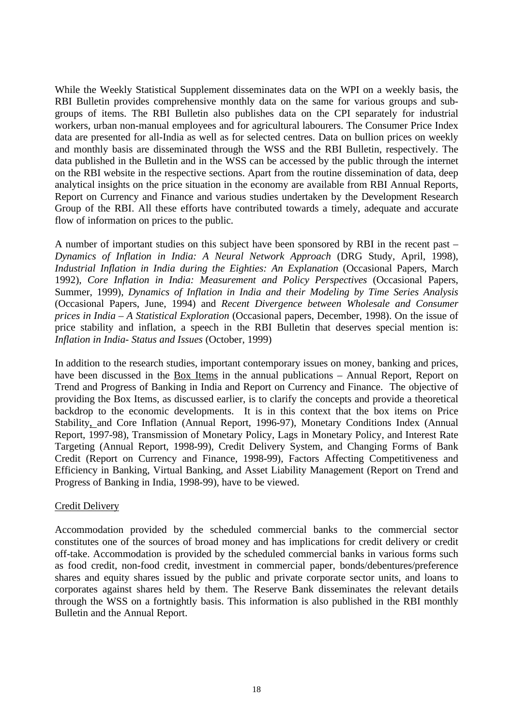While the Weekly Statistical Supplement disseminates data on the WPI on a weekly basis, the RBI Bulletin provides comprehensive monthly data on the same for various groups and subgroups of items. The RBI Bulletin also publishes data on the CPI separately for industrial workers, urban non-manual employees and for agricultural labourers. The Consumer Price Index data are presented for all-India as well as for selected centres. Data on bullion prices on weekly and monthly basis are disseminated through the WSS and the RBI Bulletin, respectively. The data published in the Bulletin and in the WSS can be accessed by the public through the internet on the RBI website in the respective sections. Apart from the routine dissemination of data, deep analytical insights on the price situation in the economy are available from RBI Annual Reports, Report on Currency and Finance and various studies undertaken by the Development Research Group of the RBI. All these efforts have contributed towards a timely, adequate and accurate flow of information on prices to the public.

A number of important studies on this subject have been sponsored by RBI in the recent past – *Dynamics of Inflation in India: A Neural Network Approach* (DRG Study, April, 1998), *Industrial Inflation in India during the Eighties: An Explanation* (Occasional Papers, March 1992), *Core Inflation in India: Measurement and Policy Perspectives* (Occasional Papers, Summer, 1999), *Dynamics of Inflation in India and their Modeling by Time Series Analysis* (Occasional Papers, June, 1994) and *Recent Divergence between Wholesale and Consumer prices in India – A Statistical Exploration* (Occasional papers, December, 1998). On the issue of price stability and inflation, a speech in the RBI Bulletin that deserves special mention is: *Inflation in India- Status and Issues* (October, 1999)

In addition to the research studies, important contemporary issues on money, banking and prices, have been discussed in the Box Items in the annual publications – Annual Report, Report on Trend and Progress of Banking in India and Report on Currency and Finance. The objective of providing the Box Items, as discussed earlier, is to clarify the concepts and provide a theoretical backdrop to the economic developments. It is in this context that the box items on Price Stability, and Core Inflation (Annual Report, 1996-97), Monetary Conditions Index (Annual Report, 1997-98), Transmission of Monetary Policy, Lags in Monetary Policy, and Interest Rate Targeting (Annual Report, 1998-99), Credit Delivery System, and Changing Forms of Bank Credit (Report on Currency and Finance, 1998-99), Factors Affecting Competitiveness and Efficiency in Banking, Virtual Banking, and Asset Liability Management (Report on Trend and Progress of Banking in India, 1998-99), have to be viewed.

## Credit Delivery

Accommodation provided by the scheduled commercial banks to the commercial sector constitutes one of the sources of broad money and has implications for credit delivery or credit off-take. Accommodation is provided by the scheduled commercial banks in various forms such as food credit, non-food credit, investment in commercial paper, bonds/debentures/preference shares and equity shares issued by the public and private corporate sector units, and loans to corporates against shares held by them. The Reserve Bank disseminates the relevant details through the WSS on a fortnightly basis. This information is also published in the RBI monthly Bulletin and the Annual Report.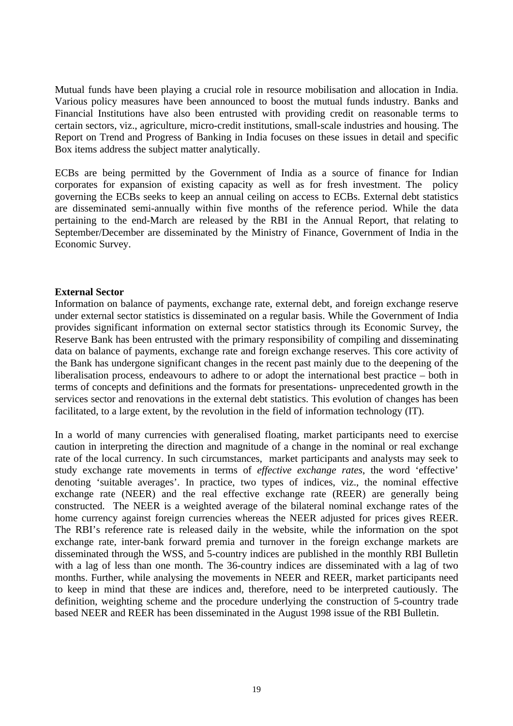Mutual funds have been playing a crucial role in resource mobilisation and allocation in India. Various policy measures have been announced to boost the mutual funds industry. Banks and Financial Institutions have also been entrusted with providing credit on reasonable terms to certain sectors, viz., agriculture, micro-credit institutions, small-scale industries and housing. The Report on Trend and Progress of Banking in India focuses on these issues in detail and specific Box items address the subject matter analytically.

ECBs are being permitted by the Government of India as a source of finance for Indian corporates for expansion of existing capacity as well as for fresh investment. The policy governing the ECBs seeks to keep an annual ceiling on access to ECBs. External debt statistics are disseminated semi-annually within five months of the reference period. While the data pertaining to the end-March are released by the RBI in the Annual Report, that relating to September/December are disseminated by the Ministry of Finance, Government of India in the Economic Survey.

## **External Sector**

Information on balance of payments, exchange rate, external debt, and foreign exchange reserve under external sector statistics is disseminated on a regular basis. While the Government of India provides significant information on external sector statistics through its Economic Survey, the Reserve Bank has been entrusted with the primary responsibility of compiling and disseminating data on balance of payments, exchange rate and foreign exchange reserves. This core activity of the Bank has undergone significant changes in the recent past mainly due to the deepening of the liberalisation process, endeavours to adhere to or adopt the international best practice – both in terms of concepts and definitions and the formats for presentations- unprecedented growth in the services sector and renovations in the external debt statistics. This evolution of changes has been facilitated, to a large extent, by the revolution in the field of information technology (IT).

In a world of many currencies with generalised floating, market participants need to exercise caution in interpreting the direction and magnitude of a change in the nominal or real exchange rate of the local currency. In such circumstances, market participants and analysts may seek to study exchange rate movements in terms of *effective exchange rates*, the word 'effective' denoting 'suitable averages'. In practice, two types of indices, viz., the nominal effective exchange rate (NEER) and the real effective exchange rate (REER) are generally being constructed. The NEER is a weighted average of the bilateral nominal exchange rates of the home currency against foreign currencies whereas the NEER adjusted for prices gives REER. The RBI's reference rate is released daily in the website, while the information on the spot exchange rate, inter-bank forward premia and turnover in the foreign exchange markets are disseminated through the WSS, and 5-country indices are published in the monthly RBI Bulletin with a lag of less than one month. The 36-country indices are disseminated with a lag of two months. Further, while analysing the movements in NEER and REER, market participants need to keep in mind that these are indices and, therefore, need to be interpreted cautiously. The definition, weighting scheme and the procedure underlying the construction of 5-country trade based NEER and REER has been disseminated in the August 1998 issue of the RBI Bulletin.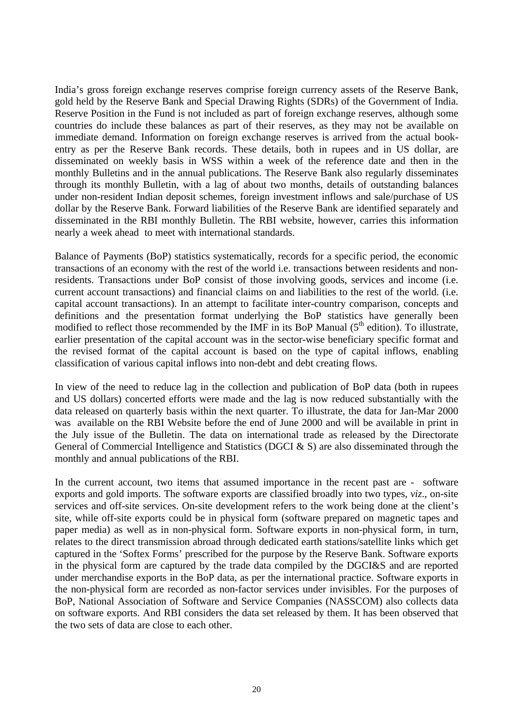India's gross foreign exchange reserves comprise foreign currency assets of the Reserve Bank, gold held by the Reserve Bank and Special Drawing Rights (SDRs) of the Government of India. Reserve Position in the Fund is not included as part of foreign exchange reserves, although some countries do include these balances as part of their reserves, as they may not be available on immediate demand. Information on foreign exchange reserves is arrived from the actual bookentry as per the Reserve Bank records. These details, both in rupees and in US dollar, are disseminated on weekly basis in WSS within a week of the reference date and then in the monthly Bulletins and in the annual publications. The Reserve Bank also regularly disseminates through its monthly Bulletin, with a lag of about two months, details of outstanding balances under non-resident Indian deposit schemes, foreign investment inflows and sale/purchase of US dollar by the Reserve Bank. Forward liabilities of the Reserve Bank are identified separately and disseminated in the RBI monthly Bulletin. The RBI website, however, carries this information nearly a week ahead to meet with international standards.

Balance of Payments (BoP) statistics systematically, records for a specific period, the economic transactions of an economy with the rest of the world i.e. transactions between residents and nonresidents. Transactions under BoP consist of those involving goods, services and income (i.e. current account transactions) and financial claims on and liabilities to the rest of the world. (i.e. capital account transactions). In an attempt to facilitate inter-country comparison, concepts and definitions and the presentation format underlying the BoP statistics have generally been modified to reflect those recommended by the IMF in its BoP Manual  $(5<sup>th</sup>$  edition). To illustrate, earlier presentation of the capital account was in the sector-wise beneficiary specific format and the revised format of the capital account is based on the type of capital inflows, enabling classification of various capital inflows into non-debt and debt creating flows.

In view of the need to reduce lag in the collection and publication of BoP data (both in rupees and US dollars) concerted efforts were made and the lag is now reduced substantially with the data released on quarterly basis within the next quarter. To illustrate, the data for Jan-Mar 2000 was available on the RBI Website before the end of June 2000 and will be available in print in the July issue of the Bulletin. The data on international trade as released by the Directorate General of Commercial Intelligence and Statistics (DGCI & S) are also disseminated through the monthly and annual publications of the RBI.

In the current account, two items that assumed importance in the recent past are - software exports and gold imports. The software exports are classified broadly into two types, *viz*., on-site services and off-site services. On-site development refers to the work being done at the client's site, while off-site exports could be in physical form (software prepared on magnetic tapes and paper media) as well as in non-physical form. Software exports in non-physical form, in turn, relates to the direct transmission abroad through dedicated earth stations/satellite links which get captured in the 'Softex Forms' prescribed for the purpose by the Reserve Bank. Software exports in the physical form are captured by the trade data compiled by the DGCI&S and are reported under merchandise exports in the BoP data, as per the international practice. Software exports in the non-physical form are recorded as non-factor services under invisibles. For the purposes of BoP, National Association of Software and Service Companies (NASSCOM) also collects data on software exports. And RBI considers the data set released by them. It has been observed that the two sets of data are close to each other.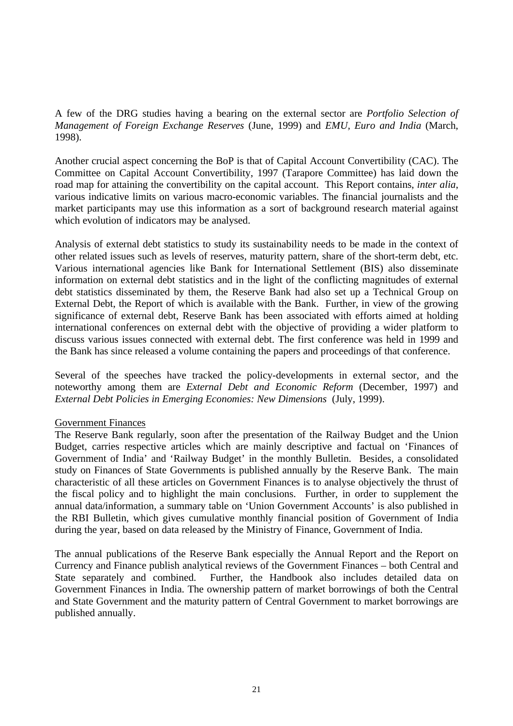A few of the DRG studies having a bearing on the external sector are *Portfolio Selection of Management of Foreign Exchange Reserves* (June, 1999) and *EMU, Euro and India* (March, 1998).

Another crucial aspect concerning the BoP is that of Capital Account Convertibility (CAC). The Committee on Capital Account Convertibility, 1997 (Tarapore Committee) has laid down the road map for attaining the convertibility on the capital account. This Report contains, *inter alia*, various indicative limits on various macro-economic variables. The financial journalists and the market participants may use this information as a sort of background research material against which evolution of indicators may be analysed.

Analysis of external debt statistics to study its sustainability needs to be made in the context of other related issues such as levels of reserves, maturity pattern, share of the short-term debt, etc. Various international agencies like Bank for International Settlement (BIS) also disseminate information on external debt statistics and in the light of the conflicting magnitudes of external debt statistics disseminated by them, the Reserve Bank had also set up a Technical Group on External Debt, the Report of which is available with the Bank. Further, in view of the growing significance of external debt, Reserve Bank has been associated with efforts aimed at holding international conferences on external debt with the objective of providing a wider platform to discuss various issues connected with external debt. The first conference was held in 1999 and the Bank has since released a volume containing the papers and proceedings of that conference.

Several of the speeches have tracked the policy-developments in external sector, and the noteworthy among them are *External Debt and Economic Reform* (December, 1997) and *External Debt Policies in Emerging Economies: New Dimensions* (July, 1999).

## Government Finances

The Reserve Bank regularly, soon after the presentation of the Railway Budget and the Union Budget, carries respective articles which are mainly descriptive and factual on 'Finances of Government of India' and 'Railway Budget' in the monthly Bulletin. Besides, a consolidated study on Finances of State Governments is published annually by the Reserve Bank. The main characteristic of all these articles on Government Finances is to analyse objectively the thrust of the fiscal policy and to highlight the main conclusions. Further, in order to supplement the annual data/information, a summary table on 'Union Government Accounts' is also published in the RBI Bulletin, which gives cumulative monthly financial position of Government of India during the year, based on data released by the Ministry of Finance, Government of India.

The annual publications of the Reserve Bank especially the Annual Report and the Report on Currency and Finance publish analytical reviews of the Government Finances – both Central and State separately and combined. Further, the Handbook also includes detailed data on Government Finances in India. The ownership pattern of market borrowings of both the Central and State Government and the maturity pattern of Central Government to market borrowings are published annually.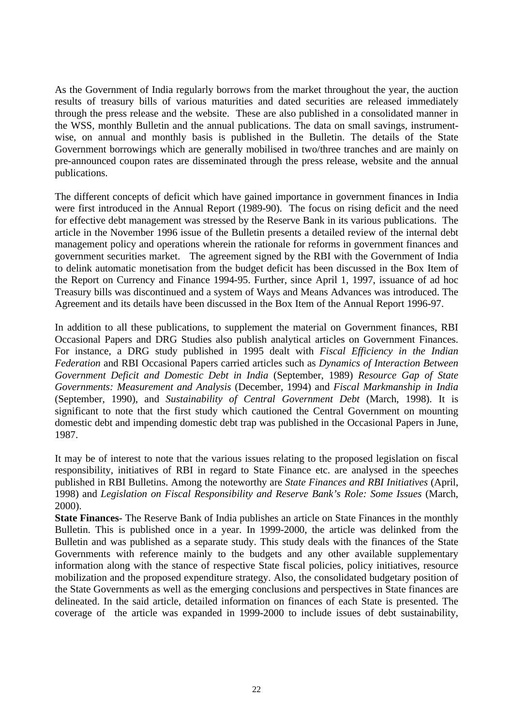As the Government of India regularly borrows from the market throughout the year, the auction results of treasury bills of various maturities and dated securities are released immediately through the press release and the website. These are also published in a consolidated manner in the WSS, monthly Bulletin and the annual publications. The data on small savings, instrumentwise, on annual and monthly basis is published in the Bulletin. The details of the State Government borrowings which are generally mobilised in two/three tranches and are mainly on pre-announced coupon rates are disseminated through the press release, website and the annual publications.

The different concepts of deficit which have gained importance in government finances in India were first introduced in the Annual Report (1989-90). The focus on rising deficit and the need for effective debt management was stressed by the Reserve Bank in its various publications. The article in the November 1996 issue of the Bulletin presents a detailed review of the internal debt management policy and operations wherein the rationale for reforms in government finances and government securities market. The agreement signed by the RBI with the Government of India to delink automatic monetisation from the budget deficit has been discussed in the Box Item of the Report on Currency and Finance 1994-95. Further, since April 1, 1997, issuance of ad hoc Treasury bills was discontinued and a system of Ways and Means Advances was introduced. The Agreement and its details have been discussed in the Box Item of the Annual Report 1996-97.

In addition to all these publications, to supplement the material on Government finances, RBI Occasional Papers and DRG Studies also publish analytical articles on Government Finances. For instance, a DRG study published in 1995 dealt with *Fiscal Efficiency in the Indian Federation* and RBI Occasional Papers carried articles such as *Dynamics of Interaction Between Government Deficit and Domestic Debt in India* (September, 1989) *Resource Gap of State Governments: Measurement and Analysis* (December, 1994) and *Fiscal Markmanship in India* (September, 1990), and *Sustainability of Central Government Debt* (March, 1998). It is significant to note that the first study which cautioned the Central Government on mounting domestic debt and impending domestic debt trap was published in the Occasional Papers in June, 1987.

It may be of interest to note that the various issues relating to the proposed legislation on fiscal responsibility, initiatives of RBI in regard to State Finance etc. are analysed in the speeches published in RBI Bulletins. Among the noteworthy are *State Finances and RBI Initiatives* (April, 1998) and *Legislation on Fiscal Responsibility and Reserve Bank's Role: Some Issues* (March, 2000).

**State Finances**- The Reserve Bank of India publishes an article on State Finances in the monthly Bulletin. This is published once in a year. In 1999-2000, the article was delinked from the Bulletin and was published as a separate study. This study deals with the finances of the State Governments with reference mainly to the budgets and any other available supplementary information along with the stance of respective State fiscal policies, policy initiatives, resource mobilization and the proposed expenditure strategy. Also, the consolidated budgetary position of the State Governments as well as the emerging conclusions and perspectives in State finances are delineated. In the said article, detailed information on finances of each State is presented. The coverage of the article was expanded in 1999-2000 to include issues of debt sustainability,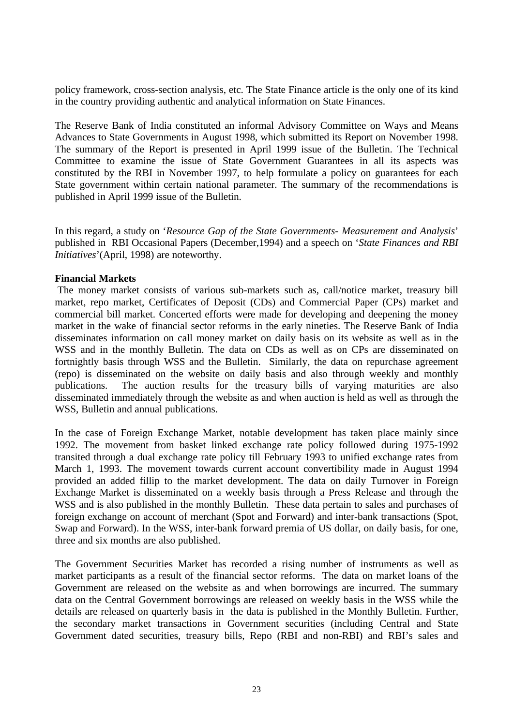policy framework, cross-section analysis, etc. The State Finance article is the only one of its kind in the country providing authentic and analytical information on State Finances.

The Reserve Bank of India constituted an informal Advisory Committee on Ways and Means Advances to State Governments in August 1998, which submitted its Report on November 1998. The summary of the Report is presented in April 1999 issue of the Bulletin. The Technical Committee to examine the issue of State Government Guarantees in all its aspects was constituted by the RBI in November 1997, to help formulate a policy on guarantees for each State government within certain national parameter. The summary of the recommendations is published in April 1999 issue of the Bulletin.

In this regard, a study on '*Resource Gap of the State Governments- Measurement and Analysis*' published in RBI Occasional Papers (December,1994) and a speech on '*State Finances and RBI Initiatives*'(April, 1998) are noteworthy.

## **Financial Markets**

 The money market consists of various sub-markets such as, call/notice market, treasury bill market, repo market, Certificates of Deposit (CDs) and Commercial Paper (CPs) market and commercial bill market. Concerted efforts were made for developing and deepening the money market in the wake of financial sector reforms in the early nineties. The Reserve Bank of India disseminates information on call money market on daily basis on its website as well as in the WSS and in the monthly Bulletin. The data on CDs as well as on CPs are disseminated on fortnightly basis through WSS and the Bulletin. Similarly, the data on repurchase agreement (repo) is disseminated on the website on daily basis and also through weekly and monthly publications. The auction results for the treasury bills of varying maturities are also disseminated immediately through the website as and when auction is held as well as through the WSS, Bulletin and annual publications.

In the case of Foreign Exchange Market, notable development has taken place mainly since 1992. The movement from basket linked exchange rate policy followed during 1975-1992 transited through a dual exchange rate policy till February 1993 to unified exchange rates from March 1, 1993. The movement towards current account convertibility made in August 1994 provided an added fillip to the market development. The data on daily Turnover in Foreign Exchange Market is disseminated on a weekly basis through a Press Release and through the WSS and is also published in the monthly Bulletin. These data pertain to sales and purchases of foreign exchange on account of merchant (Spot and Forward) and inter-bank transactions (Spot, Swap and Forward). In the WSS, inter-bank forward premia of US dollar, on daily basis, for one, three and six months are also published.

The Government Securities Market has recorded a rising number of instruments as well as market participants as a result of the financial sector reforms. The data on market loans of the Government are released on the website as and when borrowings are incurred. The summary data on the Central Government borrowings are released on weekly basis in the WSS while the details are released on quarterly basis in the data is published in the Monthly Bulletin. Further, the secondary market transactions in Government securities (including Central and State Government dated securities, treasury bills, Repo (RBI and non-RBI) and RBI's sales and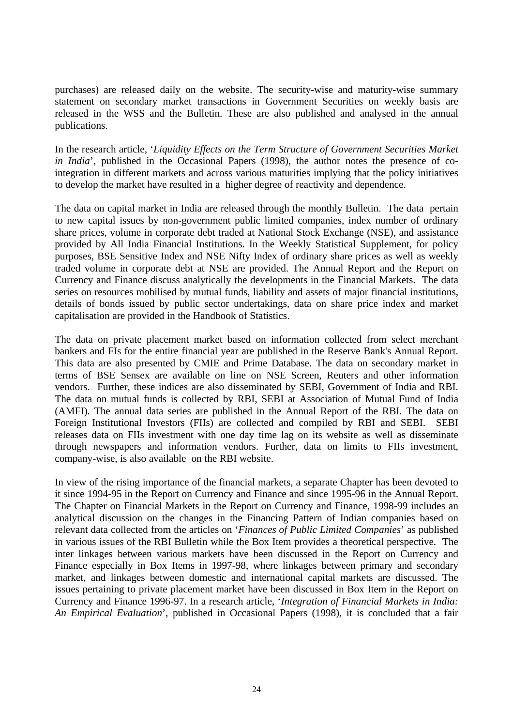purchases) are released daily on the website. The security-wise and maturity-wise summary statement on secondary market transactions in Government Securities on weekly basis are released in the WSS and the Bulletin. These are also published and analysed in the annual publications.

In the research article, '*Liquidity Effects on the Term Structure of Government Securities Market in India*', published in the Occasional Papers (1998), the author notes the presence of cointegration in different markets and across various maturities implying that the policy initiatives to develop the market have resulted in a higher degree of reactivity and dependence.

The data on capital market in India are released through the monthly Bulletin. The data pertain to new capital issues by non-government public limited companies, index number of ordinary share prices, volume in corporate debt traded at National Stock Exchange (NSE), and assistance provided by All India Financial Institutions. In the Weekly Statistical Supplement, for policy purposes, BSE Sensitive Index and NSE Nifty Index of ordinary share prices as well as weekly traded volume in corporate debt at NSE are provided. The Annual Report and the Report on Currency and Finance discuss analytically the developments in the Financial Markets. The data series on resources mobilised by mutual funds, liability and assets of major financial institutions, details of bonds issued by public sector undertakings, data on share price index and market capitalisation are provided in the Handbook of Statistics.

The data on private placement market based on information collected from select merchant bankers and FIs for the entire financial year are published in the Reserve Bank's Annual Report. This data are also presented by CMIE and Prime Database. The data on secondary market in terms of BSE Sensex are available on line on NSE Screen, Reuters and other information vendors. Further, these indices are also disseminated by SEBI, Government of India and RBI. The data on mutual funds is collected by RBI, SEBI at Association of Mutual Fund of India (AMFI). The annual data series are published in the Annual Report of the RBI. The data on Foreign Institutional Investors (FIIs) are collected and compiled by RBI and SEBI. SEBI releases data on FIIs investment with one day time lag on its website as well as disseminate through newspapers and information vendors. Further, data on limits to FIIs investment, company-wise, is also available on the RBI website.

In view of the rising importance of the financial markets, a separate Chapter has been devoted to it since 1994-95 in the Report on Currency and Finance and since 1995-96 in the Annual Report. The Chapter on Financial Markets in the Report on Currency and Finance, 1998-99 includes an analytical discussion on the changes in the Financing Pattern of Indian companies based on relevant data collected from the articles on '*Finances of Public Limited Companies*' as published in various issues of the RBI Bulletin while the Box Item provides a theoretical perspective. The inter linkages between various markets have been discussed in the Report on Currency and Finance especially in Box Items in 1997-98, where linkages between primary and secondary market, and linkages between domestic and international capital markets are discussed. The issues pertaining to private placement market have been discussed in Box Item in the Report on Currency and Finance 1996-97. In a research article, '*Integration of Financial Markets in India: An Empirical Evaluation*', published in Occasional Papers (1998), it is concluded that a fair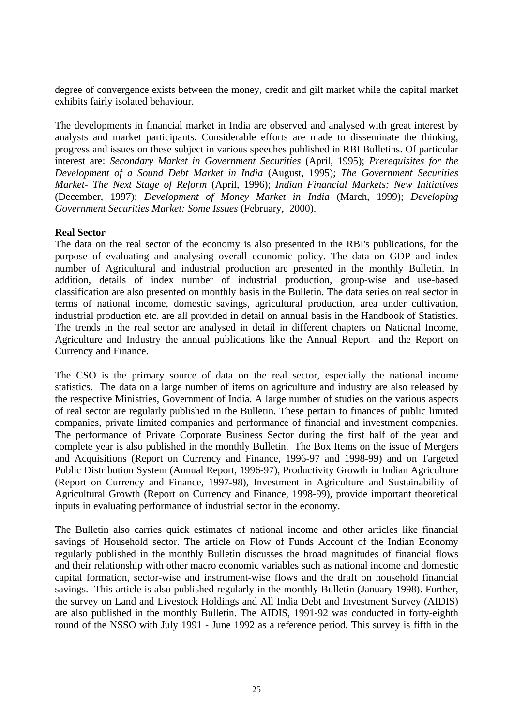degree of convergence exists between the money, credit and gilt market while the capital market exhibits fairly isolated behaviour.

The developments in financial market in India are observed and analysed with great interest by analysts and market participants. Considerable efforts are made to disseminate the thinking, progress and issues on these subject in various speeches published in RBI Bulletins. Of particular interest are: *Secondary Market in Government Securities* (April, 1995); *Prerequisites for the Development of a Sound Debt Market in India* (August, 1995); *The Government Securities Market- The Next Stage of Reform* (April, 1996); *Indian Financial Markets: New Initiatives* (December, 1997); *Development of Money Market in India* (March, 1999); *Developing Government Securities Market: Some Issues* (February, 2000).

## **Real Sector**

The data on the real sector of the economy is also presented in the RBI's publications, for the purpose of evaluating and analysing overall economic policy. The data on GDP and index number of Agricultural and industrial production are presented in the monthly Bulletin. In addition, details of index number of industrial production, group-wise and use-based classification are also presented on monthly basis in the Bulletin. The data series on real sector in terms of national income, domestic savings, agricultural production, area under cultivation, industrial production etc. are all provided in detail on annual basis in the Handbook of Statistics. The trends in the real sector are analysed in detail in different chapters on National Income, Agriculture and Industry the annual publications like the Annual Report and the Report on Currency and Finance.

The CSO is the primary source of data on the real sector, especially the national income statistics. The data on a large number of items on agriculture and industry are also released by the respective Ministries, Government of India. A large number of studies on the various aspects of real sector are regularly published in the Bulletin. These pertain to finances of public limited companies, private limited companies and performance of financial and investment companies. The performance of Private Corporate Business Sector during the first half of the year and complete year is also published in the monthly Bulletin. The Box Items on the issue of Mergers and Acquisitions (Report on Currency and Finance, 1996-97 and 1998-99) and on Targeted Public Distribution System (Annual Report, 1996-97), Productivity Growth in Indian Agriculture (Report on Currency and Finance, 1997-98), Investment in Agriculture and Sustainability of Agricultural Growth (Report on Currency and Finance, 1998-99), provide important theoretical inputs in evaluating performance of industrial sector in the economy.

The Bulletin also carries quick estimates of national income and other articles like financial savings of Household sector. The article on Flow of Funds Account of the Indian Economy regularly published in the monthly Bulletin discusses the broad magnitudes of financial flows and their relationship with other macro economic variables such as national income and domestic capital formation, sector-wise and instrument-wise flows and the draft on household financial savings. This article is also published regularly in the monthly Bulletin (January 1998). Further, the survey on Land and Livestock Holdings and All India Debt and Investment Survey (AIDIS) are also published in the monthly Bulletin. The AIDIS, 1991-92 was conducted in forty-eighth round of the NSSO with July 1991 - June 1992 as a reference period. This survey is fifth in the